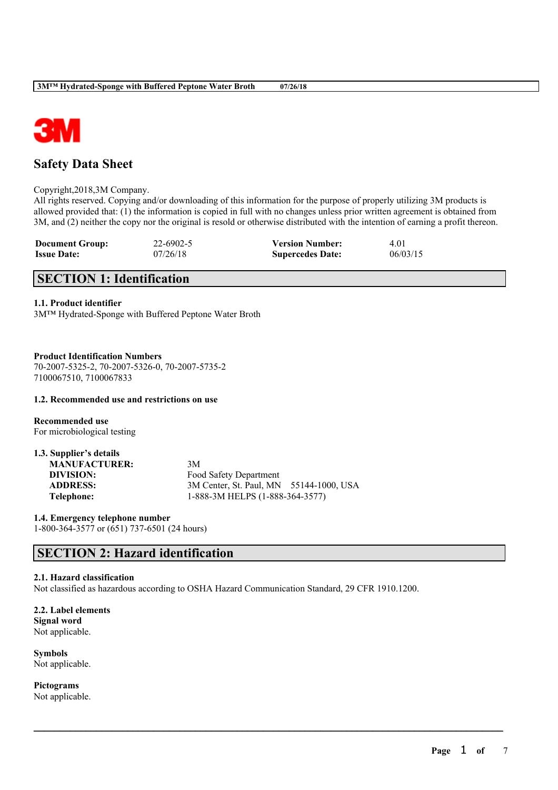

## **Safety Data Sheet**

Copyright,2018,3M Company.

All rights reserved. Copying and/or downloading of this information for the purpose of properly utilizing 3M products is allowed provided that: (1) the information is copied in full with no changes unless prior written agreement is obtained from 3M, and (2) neither the copy nor the original is resold or otherwise distributed with the intention of earning a profit thereon.

| <b>Document Group:</b> | 22-6902-5 | <b>Version Number:</b>  | 4.01     |
|------------------------|-----------|-------------------------|----------|
| <b>Issue Date:</b>     | 07/26/18  | <b>Supercedes Date:</b> | 06/03/15 |

## **SECTION 1: Identification**

### **1.1. Product identifier**

3M™ Hydrated-Sponge with Buffered Peptone Water Broth

**Product Identification Numbers** 70-2007-5325-2, 70-2007-5326-0, 70-2007-5735-2 7100067510, 7100067833

### **1.2. Recommended use and restrictions on use**

**Recommended use** For microbiological testing

| 1.3. Supplier's details |                                         |
|-------------------------|-----------------------------------------|
| <b>MANUFACTURER:</b>    | 3M                                      |
| DIVISION:               | Food Safety Department                  |
| <b>ADDRESS:</b>         | 3M Center, St. Paul, MN 55144-1000, USA |
| <b>Telephone:</b>       | 1-888-3M HELPS (1-888-364-3577)         |

**1.4. Emergency telephone number** 1-800-364-3577 or (651) 737-6501 (24 hours)

## **SECTION 2: Hazard identification**

### **2.1. Hazard classification**

Not classified as hazardous according to OSHA Hazard Communication Standard, 29 CFR 1910.1200.

 $\mathcal{L}_\mathcal{L} = \mathcal{L}_\mathcal{L} = \mathcal{L}_\mathcal{L} = \mathcal{L}_\mathcal{L} = \mathcal{L}_\mathcal{L} = \mathcal{L}_\mathcal{L} = \mathcal{L}_\mathcal{L} = \mathcal{L}_\mathcal{L} = \mathcal{L}_\mathcal{L} = \mathcal{L}_\mathcal{L} = \mathcal{L}_\mathcal{L} = \mathcal{L}_\mathcal{L} = \mathcal{L}_\mathcal{L} = \mathcal{L}_\mathcal{L} = \mathcal{L}_\mathcal{L} = \mathcal{L}_\mathcal{L} = \mathcal{L}_\mathcal{L}$ 

**2.2. Label elements Signal word** Not applicable.

**Symbols** Not applicable.

**Pictograms** Not applicable.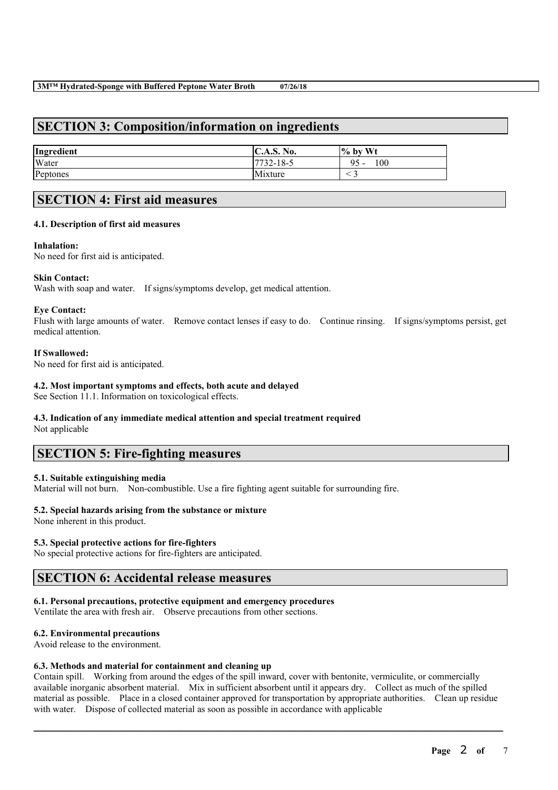## **SECTION 3: Composition/information on ingredients**

| Ingredient | <b>C.A.S. No.</b> | $\%$ by Wt     |
|------------|-------------------|----------------|
| Water      | 7732-18-5         | 100<br>95<br>- |
| Peptones   | Mixture           |                |

## **SECTION 4: First aid measures**

### **4.1. Description of first aid measures**

### **Inhalation:**

No need for first aid is anticipated.

### **Skin Contact:**

Wash with soap and water. If signs/symptoms develop, get medical attention.

### **Eye Contact:**

Flush with large amounts of water. Remove contact lenses if easy to do. Continue rinsing. If signs/symptoms persist, get medical attention.

### **If Swallowed:**

No need for first aid is anticipated.

### **4.2. Most important symptoms and effects, both acute and delayed**

See Section 11.1. Information on toxicological effects.

# **4.3. Indication of any immediate medical attention and special treatment required**

Not applicable

## **SECTION 5: Fire-fighting measures**

### **5.1. Suitable extinguishing media**

Material will not burn. Non-combustible. Use a fire fighting agent suitable for surrounding fire.

## **5.2. Special hazards arising from the substance or mixture**

None inherent in this product.

## **5.3. Special protective actions for fire-fighters**

No special protective actions for fire-fighters are anticipated.

## **SECTION 6: Accidental release measures**

### **6.1. Personal precautions, protective equipment and emergency procedures**

Ventilate the area with fresh air. Observe precautions from other sections.

### **6.2. Environmental precautions**

Avoid release to the environment.

### **6.3. Methods and material for containment and cleaning up**

Contain spill. Working from around the edges of the spill inward, cover with bentonite, vermiculite, or commercially available inorganic absorbent material. Mix in sufficient absorbent until it appears dry. Collect as much of the spilled material as possible. Place in a closed container approved for transportation by appropriate authorities. Clean up residue with water. Dispose of collected material as soon as possible in accordance with applicable

 $\mathcal{L}_\mathcal{L} = \mathcal{L}_\mathcal{L} = \mathcal{L}_\mathcal{L} = \mathcal{L}_\mathcal{L} = \mathcal{L}_\mathcal{L} = \mathcal{L}_\mathcal{L} = \mathcal{L}_\mathcal{L} = \mathcal{L}_\mathcal{L} = \mathcal{L}_\mathcal{L} = \mathcal{L}_\mathcal{L} = \mathcal{L}_\mathcal{L} = \mathcal{L}_\mathcal{L} = \mathcal{L}_\mathcal{L} = \mathcal{L}_\mathcal{L} = \mathcal{L}_\mathcal{L} = \mathcal{L}_\mathcal{L} = \mathcal{L}_\mathcal{L}$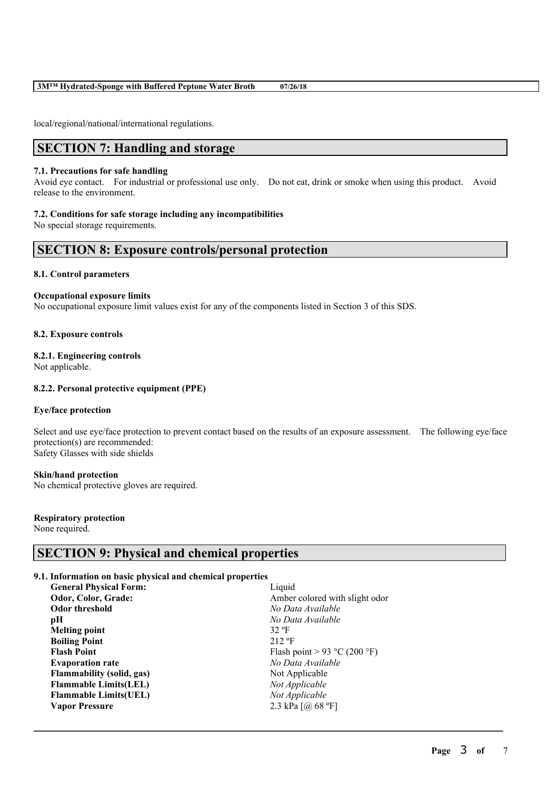### **3M™ Hydrated-Sponge with Buffered Peptone Water Broth 07/26/18**

local/regional/national/international regulations.

## **SECTION 7: Handling and storage**

### **7.1. Precautions for safe handling**

Avoid eye contact. For industrial or professional use only. Do not eat, drink or smoke when using this product. Avoid release to the environment.

### **7.2. Conditions for safe storage including any incompatibilities**

No special storage requirements.

## **SECTION 8: Exposure controls/personal protection**

### **8.1. Control parameters**

### **Occupational exposure limits**

No occupational exposure limit values exist for any of the components listed in Section 3 of this SDS.

### **8.2. Exposure controls**

## **8.2.1. Engineering controls**

Not applicable.

### **8.2.2. Personal protective equipment (PPE)**

### **Eye/face protection**

Select and use eye/face protection to prevent contact based on the results of an exposure assessment. The following eye/face protection(s) are recommended: Safety Glasses with side shields

 $\mathcal{L}_\mathcal{L} = \mathcal{L}_\mathcal{L} = \mathcal{L}_\mathcal{L} = \mathcal{L}_\mathcal{L} = \mathcal{L}_\mathcal{L} = \mathcal{L}_\mathcal{L} = \mathcal{L}_\mathcal{L} = \mathcal{L}_\mathcal{L} = \mathcal{L}_\mathcal{L} = \mathcal{L}_\mathcal{L} = \mathcal{L}_\mathcal{L} = \mathcal{L}_\mathcal{L} = \mathcal{L}_\mathcal{L} = \mathcal{L}_\mathcal{L} = \mathcal{L}_\mathcal{L} = \mathcal{L}_\mathcal{L} = \mathcal{L}_\mathcal{L}$ 

### **Skin/hand protection**

No chemical protective gloves are required.

### **Respiratory protection**

None required.

## **SECTION 9: Physical and chemical properties**

### **9.1. Information on basic physical and chemical properties**

| Liquid                         |
|--------------------------------|
| Amber colored with slight odor |
| No Data Available              |
| No Data Available              |
| 32 °F                          |
| $212 \text{ }^{\circ}F$        |
| Flash point > 93 °C (200 °F)   |
| No Data Available              |
| Not Applicable                 |
| Not Applicable                 |
| Not Applicable                 |
| 2.3 kPa $[@]$ 68 °F]           |
|                                |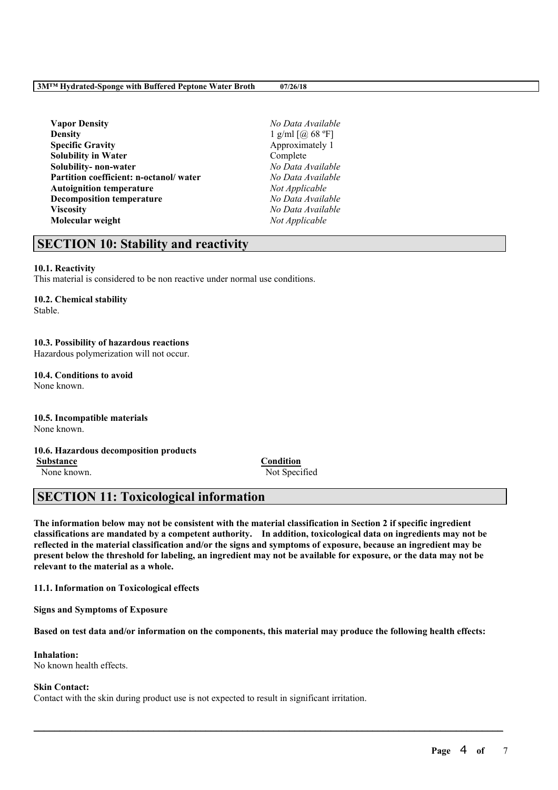## **3M™ Hydrated-Sponge with Buffered Peptone Water Broth 07/26/18**

**Vapor Density** *No Data Available* **Density** 1 g/ml [@ 68 °F] **Specific Gravity** Approximately 1 **Solubility in Water** Complete **Solubility- non-water** *No Data Available* **Partition coefficient: n-octanol/ water** *No Data Available* Autoignition temperature **Decomposition temperature** *No Data Available* **Viscosity** *No Data Available* **Molecular weight** *Not Applicable*

## **SECTION 10: Stability and reactivity**

### **10.1. Reactivity**

This material is considered to be non reactive under normal use conditions.

### **10.2. Chemical stability**

Stable.

## **10.3. Possibility of hazardous reactions**

Hazardous polymerization will not occur.

#### **10.4. Conditions to avoid** None known.

**10.5. Incompatible materials** None known.

## **10.6. Hazardous decomposition products**

**Substance Condition** None known. Not Specified

## **SECTION 11: Toxicological information**

The information below may not be consistent with the material classification in Section 2 if specific ingredient **classifications are mandated by a competent authority. In addition, toxicological data on ingredients may not be** reflected in the material classification and/or the signs and symptoms of exposure, because an ingredient may be present below the threshold for labeling, an ingredient may not be available for exposure, or the data may not be **relevant to the material as a whole.**

**11.1. Information on Toxicological effects**

**Signs and Symptoms of Exposure**

Based on test data and/or information on the components, this material may produce the following health effects:

 $\mathcal{L}_\mathcal{L} = \mathcal{L}_\mathcal{L} = \mathcal{L}_\mathcal{L} = \mathcal{L}_\mathcal{L} = \mathcal{L}_\mathcal{L} = \mathcal{L}_\mathcal{L} = \mathcal{L}_\mathcal{L} = \mathcal{L}_\mathcal{L} = \mathcal{L}_\mathcal{L} = \mathcal{L}_\mathcal{L} = \mathcal{L}_\mathcal{L} = \mathcal{L}_\mathcal{L} = \mathcal{L}_\mathcal{L} = \mathcal{L}_\mathcal{L} = \mathcal{L}_\mathcal{L} = \mathcal{L}_\mathcal{L} = \mathcal{L}_\mathcal{L}$ 

## **Inhalation:**

No known health effects.

### **Skin Contact:**

Contact with the skin during product use is not expected to result in significant irritation.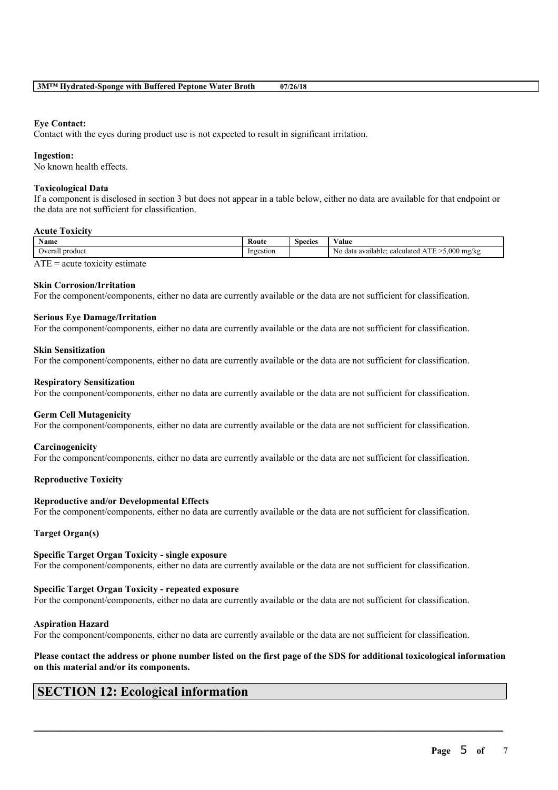### **Eye Contact:**

Contact with the eyes during product use is not expected to result in significant irritation.

### **Ingestion:**

No known health effects.

### **Toxicological Data**

If a component is disclosed in section 3 but does not appear in a table below, either no data are available for that endpoint or the data are not sufficient for classification.

### **Acute Toxicity**

| Name            | Route                 | Species | $-1$<br>′alue                                                                                    |
|-----------------|-----------------------|---------|--------------------------------------------------------------------------------------------------|
| Overall product | Inges<br>zestion<br>. |         | 5.000<br><b>CONTRACT</b><br>mg/kg<br>calculated<br>o data available <sup>.</sup><br>NΟ<br>⊷<br>ັ |
| <b>THE</b><br>. |                       |         |                                                                                                  |

 $ATE = acute$  toxicity estimate

### **Skin Corrosion/Irritation**

For the component/components, either no data are currently available or the data are not sufficient for classification.

### **Serious Eye Damage/Irritation**

For the component/components, either no data are currently available or the data are not sufficient for classification.

#### **Skin Sensitization**

For the component/components, either no data are currently available or the data are not sufficient for classification.

#### **Respiratory Sensitization**

For the component/components, either no data are currently available or the data are not sufficient for classification.

### **Germ Cell Mutagenicity**

For the component/components, either no data are currently available or the data are not sufficient for classification.

### **Carcinogenicity**

For the component/components, either no data are currently available or the data are not sufficient for classification.

### **Reproductive Toxicity**

### **Reproductive and/or Developmental Effects**

For the component/components, either no data are currently available or the data are not sufficient for classification.

### **Target Organ(s)**

### **Specific Target Organ Toxicity - single exposure**

For the component/components, either no data are currently available or the data are not sufficient for classification.

### **Specific Target Organ Toxicity - repeated exposure**

For the component/components, either no data are currently available or the data are not sufficient for classification.

### **Aspiration Hazard**

For the component/components, either no data are currently available or the data are not sufficient for classification.

### Please contact the address or phone number listed on the first page of the SDS for additional toxicological information **on this material and/or its components.**

 $\mathcal{L}_\mathcal{L} = \mathcal{L}_\mathcal{L} = \mathcal{L}_\mathcal{L} = \mathcal{L}_\mathcal{L} = \mathcal{L}_\mathcal{L} = \mathcal{L}_\mathcal{L} = \mathcal{L}_\mathcal{L} = \mathcal{L}_\mathcal{L} = \mathcal{L}_\mathcal{L} = \mathcal{L}_\mathcal{L} = \mathcal{L}_\mathcal{L} = \mathcal{L}_\mathcal{L} = \mathcal{L}_\mathcal{L} = \mathcal{L}_\mathcal{L} = \mathcal{L}_\mathcal{L} = \mathcal{L}_\mathcal{L} = \mathcal{L}_\mathcal{L}$ 

## **SECTION 12: Ecological information**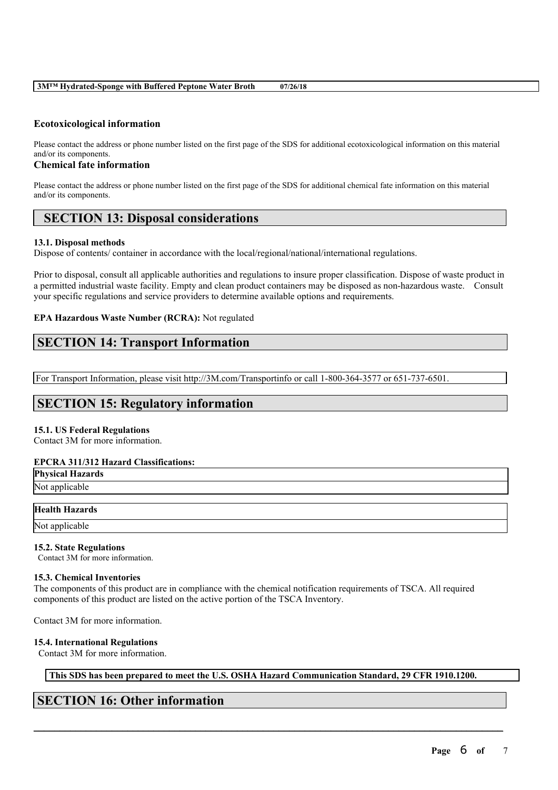### **Ecotoxicological information**

Please contact the address or phone number listed on the first page of the SDS for additional ecotoxicological information on this material and/or its components.

### **Chemical fate information**

Please contact the address or phone number listed on the first page of the SDS for additional chemical fate information on this material and/or its components.

## **SECTION 13: Disposal considerations**

### **13.1. Disposal methods**

Dispose of contents/ container in accordance with the local/regional/national/international regulations.

Prior to disposal, consult all applicable authorities and regulations to insure proper classification. Dispose of waste product in a permitted industrial waste facility. Empty and clean product containers may be disposed as non-hazardous waste. Consult your specific regulations and service providers to determine available options and requirements.

### **EPA Hazardous Waste Number (RCRA):** Not regulated

## **SECTION 14: Transport Information**

For Transport Information, please visit http://3M.com/Transportinfo or call 1-800-364-3577 or 651-737-6501.

## **SECTION 15: Regulatory information**

### **15.1. US Federal Regulations**

Contact 3M for more information.

### **EPCRA 311/312 Hazard Classifications:**

**Physical Hazards** Not applicable

### **Health Hazards**

Not applicable

### **15.2. State Regulations**

Contact 3M for more information.

### **15.3. Chemical Inventories**

The components of this product are in compliance with the chemical notification requirements of TSCA. All required components of this product are listed on the active portion of the TSCA Inventory.

Contact 3M for more information.

### **15.4. International Regulations**

Contact 3M for more information.

**This SDS has been prepared to meet the U.S. OSHA Hazard Communication Standard, 29 CFR 1910.1200.**

 $\mathcal{L}_\mathcal{L} = \mathcal{L}_\mathcal{L} = \mathcal{L}_\mathcal{L} = \mathcal{L}_\mathcal{L} = \mathcal{L}_\mathcal{L} = \mathcal{L}_\mathcal{L} = \mathcal{L}_\mathcal{L} = \mathcal{L}_\mathcal{L} = \mathcal{L}_\mathcal{L} = \mathcal{L}_\mathcal{L} = \mathcal{L}_\mathcal{L} = \mathcal{L}_\mathcal{L} = \mathcal{L}_\mathcal{L} = \mathcal{L}_\mathcal{L} = \mathcal{L}_\mathcal{L} = \mathcal{L}_\mathcal{L} = \mathcal{L}_\mathcal{L}$ 

## **SECTION 16: Other information**